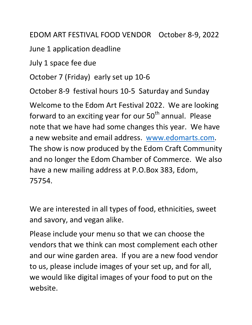EDOM ART FESTIVAL FOOD VENDOR October 8-9, 2022

June 1 application deadline

July 1 space fee due

October 7 (Friday) early set up 10-6

October 8-9 festival hours 10-5 Saturday and Sunday

Welcome to the Edom Art Festival 2022. We are looking forward to an exciting year for our  $50<sup>th</sup>$  annual. Please note that we have had some changes this year. We have a new website and email address. [www.edomarts.com.](http://www.edomarts.com/) The show is now produced by the Edom Craft Community and no longer the Edom Chamber of Commerce. We also have a new mailing address at P.O.Box 383, Edom, 75754.

We are interested in all types of food, ethnicities, sweet and savory, and vegan alike.

Please include your menu so that we can choose the vendors that we think can most complement each other and our wine garden area. If you are a new food vendor to us, please include images of your set up, and for all, we would like digital images of your food to put on the website.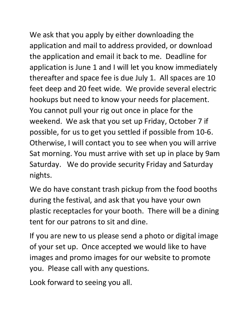We ask that you apply by either downloading the application and mail to address provided, or download the application and email it back to me. Deadline for application is June 1 and I will let you know immediately thereafter and space fee is due July 1. All spaces are 10 feet deep and 20 feet wide. We provide several electric hookups but need to know your needs for placement. You cannot pull your rig out once in place for the weekend. We ask that you set up Friday, October 7 if possible, for us to get you settled if possible from 10-6. Otherwise, I will contact you to see when you will arrive Sat morning. You must arrive with set up in place by 9am Saturday. We do provide security Friday and Saturday nights.

We do have constant trash pickup from the food booths during the festival, and ask that you have your own plastic receptacles for your booth. There will be a dining tent for our patrons to sit and dine.

If you are new to us please send a photo or digital image of your set up. Once accepted we would like to have images and promo images for our website to promote you. Please call with any questions.

Look forward to seeing you all.